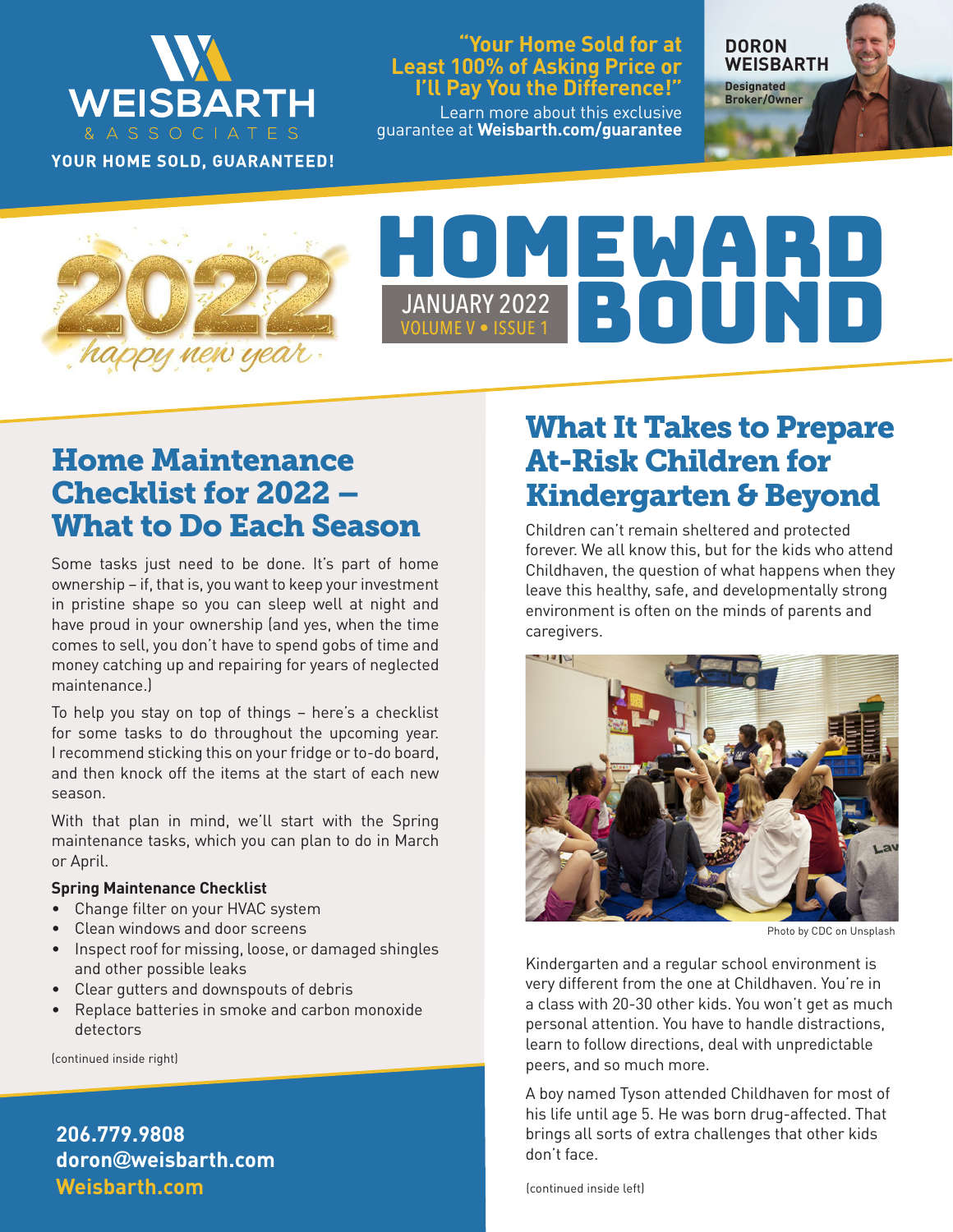

YOUR HOME SOLD, GUARANTEED!

#### **"Your Home Sold for at Least 100% of Asking Price or I'll Pay You the Difference!"**

Learn more about this exclusive guarantee at **Weisbarth.com/guarantee**

**DORON WEISBARTH Designated** 

**Broker/Owner**

**More Real Estate News**

# HOMEWARD VOLUME V • ISSUE 1 JANUARY 2022 BOUNDAY 1

## Home Maintenance Checklist for 2022 – What to Do Each Season

Some tasks just need to be done. It's part of home ownership – if, that is, you want to keep your investment in pristine shape so you can sleep well at night and have proud in your ownership (and yes, when the time comes to sell, you don't have to spend gobs of time and money catching up and repairing for years of neglected maintenance.)

To help you stay on top of things – here's a checklist for some tasks to do throughout the upcoming year. I recommend sticking this on your fridge or to-do board, and then knock off the items at the start of each new season.

With that plan in mind, we'll start with the Spring maintenance tasks, which you can plan to do in March or April.

#### **Spring Maintenance Checklist**

- Change filter on your HVAC system
- Clean windows and door screens
- Inspect roof for missing, loose, or damaged shingles and other possible leaks
- Clear gutters and downspouts of debris
- Replace batteries in smoke and carbon monoxide detectors

(continued inside right)

**Weisbarth.com 206.779.9808 doron@weisbarth.com**

## What It Takes to Prepare At-Risk Children for Kindergarten & Beyond

Children can't remain sheltered and protected forever. We all know this, but for the kids who attend Childhaven, the question of what happens when they leave this healthy, safe, and developmentally strong environment is often on the minds of parents and caregivers.



Photo by CDC on Unsplash

Kindergarten and a regular school environment is very different from the one at Childhaven. You're in a class with 20-30 other kids. You won't get as much personal attention. You have to handle distractions, learn to follow directions, deal with unpredictable peers, and so much more.

A boy named Tyson attended Childhaven for most of his life until age 5. He was born drug-affected. That brings all sorts of extra challenges that other kids don't face.

(continued inside left)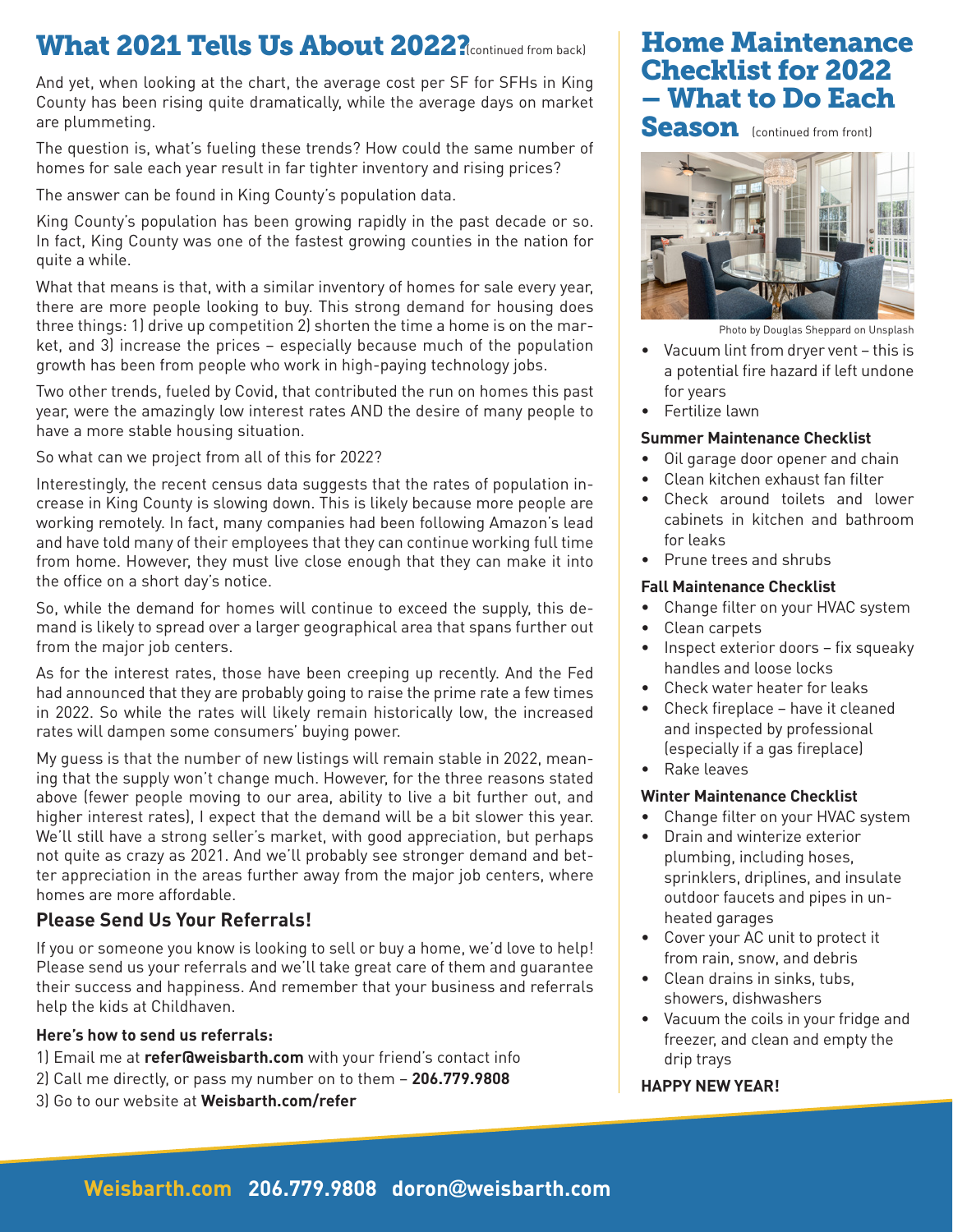## What 2021 Tells Us About 2022? RContinued from back) | Home Maintenance

And yet, when looking at the chart, the average cost per SF for SFHs in King County has been rising quite dramatically, while the average days on market are plummeting.

The question is, what's fueling these trends? How could the same number of homes for sale each year result in far tighter inventory and rising prices?

The answer can be found in King County's population data.

King County's population has been growing rapidly in the past decade or so. In fact, King County was one of the fastest growing counties in the nation for quite a while.

What that means is that, with a similar inventory of homes for sale every year, there are more people looking to buy. This strong demand for housing does three things: 1) drive up competition 2) shorten the time a home is on the market, and 3) increase the prices – especially because much of the population growth has been from people who work in high-paying technology jobs.

Two other trends, fueled by Covid, that contributed the run on homes this past year, were the amazingly low interest rates AND the desire of many people to have a more stable housing situation.

So what can we project from all of this for 2022?

Interestingly, the recent census data suggests that the rates of population increase in King County is slowing down. This is likely because more people are working remotely. In fact, many companies had been following Amazon's lead and have told many of their employees that they can continue working full time from home. However, they must live close enough that they can make it into the office on a short day's notice.

So, while the demand for homes will continue to exceed the supply, this demand is likely to spread over a larger geographical area that spans further out from the major job centers.

As for the interest rates, those have been creeping up recently. And the Fed had announced that they are probably going to raise the prime rate a few times in 2022. So while the rates will likely remain historically low, the increased rates will dampen some consumers' buying power.

My guess is that the number of new listings will remain stable in 2022, meaning that the supply won't change much. However, for the three reasons stated above (fewer people moving to our area, ability to live a bit further out, and higher interest rates), I expect that the demand will be a bit slower this year. We'll still have a strong seller's market, with good appreciation, but perhaps not quite as crazy as 2021. And we'll probably see stronger demand and better appreciation in the areas further away from the major job centers, where homes are more affordable.

#### **Please Send Us Your Referrals!**

If you or someone you know is looking to sell or buy a home, we'd love to help! Please send us your referrals and we'll take great care of them and guarantee their success and happiness. And remember that your business and referrals help the kids at Childhaven.

#### **Here's how to send us referrals:**

- 1) Email me at **refer@weisbarth.com** with your friend's contact info
- 2) Call me directly, or pass my number on to them **206.779.9808**
- 3) Go to our website at **Weisbarth.com/refer**

# Checklist for 2022 – What to Do Each

Season (continued from front)



Photo by Douglas Sheppard on Unsplash

- Vacuum lint from dryer vent this is a potential fire hazard if left undone for years
- Fertilize lawn

#### **Summer Maintenance Checklist**

- Oil garage door opener and chain
- Clean kitchen exhaust fan filter
- Check around toilets and lower cabinets in kitchen and bathroom for leaks
- Prune trees and shrubs

#### **Fall Maintenance Checklist**

- Change filter on your HVAC system
- Clean carpets
- Inspect exterior doors fix squeaky handles and loose locks
- Check water heater for leaks
- Check fireplace have it cleaned and inspected by professional (especially if a gas fireplace)
- Rake leaves

#### **Winter Maintenance Checklist**

- Change filter on your HVAC system
- Drain and winterize exterior plumbing, including hoses, sprinklers, driplines, and insulate outdoor faucets and pipes in unheated garages
- Cover your AC unit to protect it from rain, snow, and debris
- Clean drains in sinks, tubs, showers, dishwashers
- Vacuum the coils in your fridge and freezer, and clean and empty the drip trays

#### **HAPPY NEW YEAR!**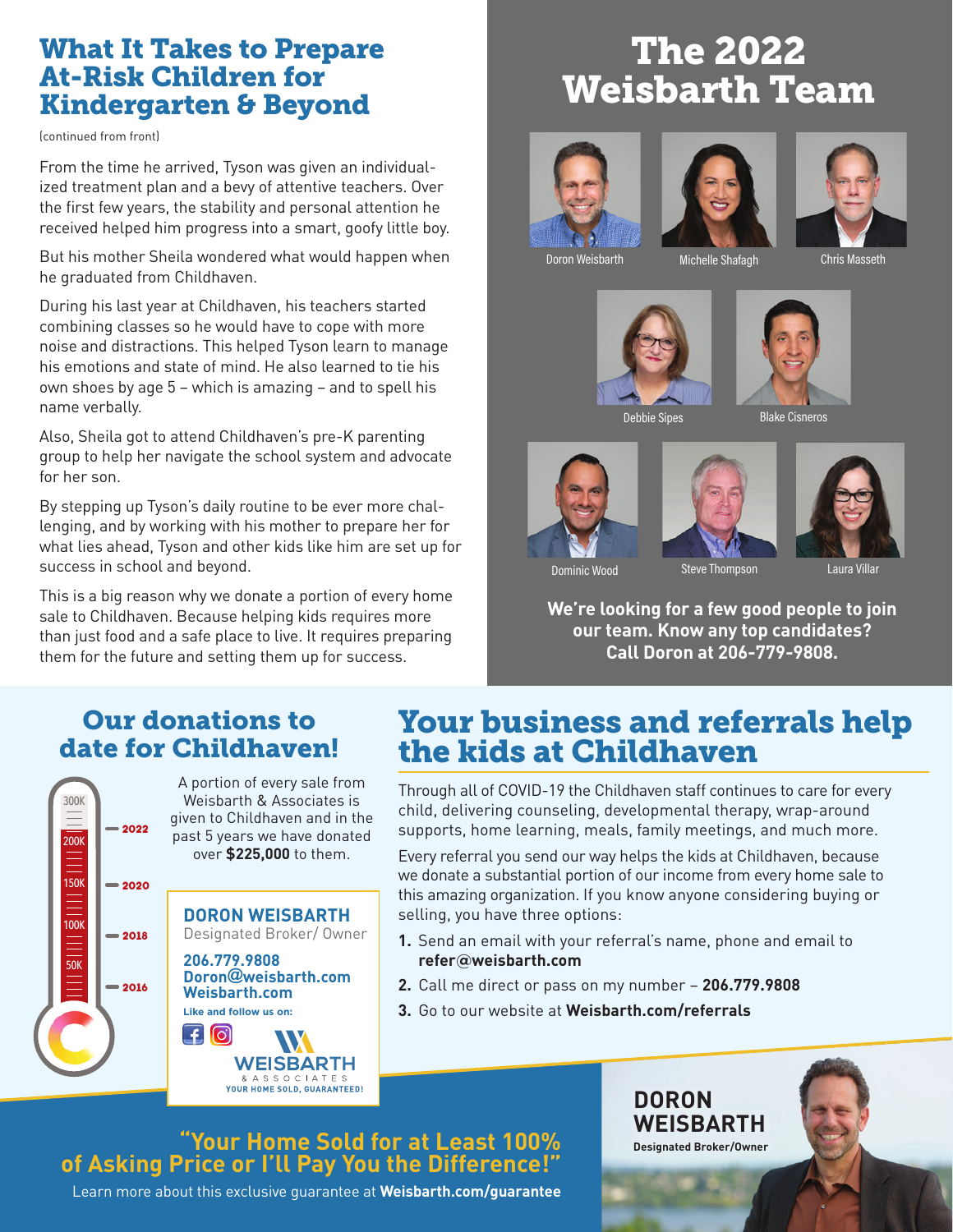### What It Takes to Prepare At-Risk Children for Kindergarten & Beyond

(continued from front)

From the time he arrived, Tyson was given an individualized treatment plan and a bevy of attentive teachers. Over the first few years, the stability and personal attention he received helped him progress into a smart, goofy little boy.

But his mother Sheila wondered what would happen when he graduated from Childhaven.

During his last year at Childhaven, his teachers started combining classes so he would have to cope with more noise and distractions. This helped Tyson learn to manage his emotions and state of mind. He also learned to tie his own shoes by age 5 – which is amazing – and to spell his name verbally.

Also, Sheila got to attend Childhaven's pre-K parenting group to help her navigate the school system and advocate for her son.

By stepping up Tyson's daily routine to be ever more challenging, and by working with his mother to prepare her for what lies ahead, Tyson and other kids like him are set up for success in school and beyond.

This is a big reason why we donate a portion of every home sale to Childhaven. Because helping kids requires more than just food and a safe place to live. It requires preparing them for the future and setting them up for success.

## The 2022 Weisbarth Team







Doron Weisbarth Michelle Shafagh







Debbie Sipes



Blake Cisneros







Dominic Wood Steve Thompson Laura Villar

**We're looking for a few good people to join our team. Know any top candidates? Call Doron at 206-779-9808.**

### Our donations to date for Childhaven!



## Your business and referrals help the kids at Childhaven

Through all of COVID-19 the Childhaven staff continues to care for every child, delivering counseling, developmental therapy, wrap-around supports, home learning, meals, family meetings, and much more.

Every referral you send our way helps the kids at Childhaven, because we donate a substantial portion of our income from every home sale to this amazing organization. If you know anyone considering buying or selling, you have three options:

- **1.** Send an email with your referral's name, phone and email to **refer@weisbarth.com**
- **2.** Call me direct or pass on my number **206.779.9808**
- **3.** Go to our website at **Weisbarth.com/referrals**

### **"Your Home Sold for at Least 100% of Asking Price or I'll Pay You the Difference!"**

W **WEISBARTH** 

> **WEISBARTH Designated Broker/Owner**

**DORON** 

Learn more about this exclusive guarantee at **Weisbarth.com/guarantee**